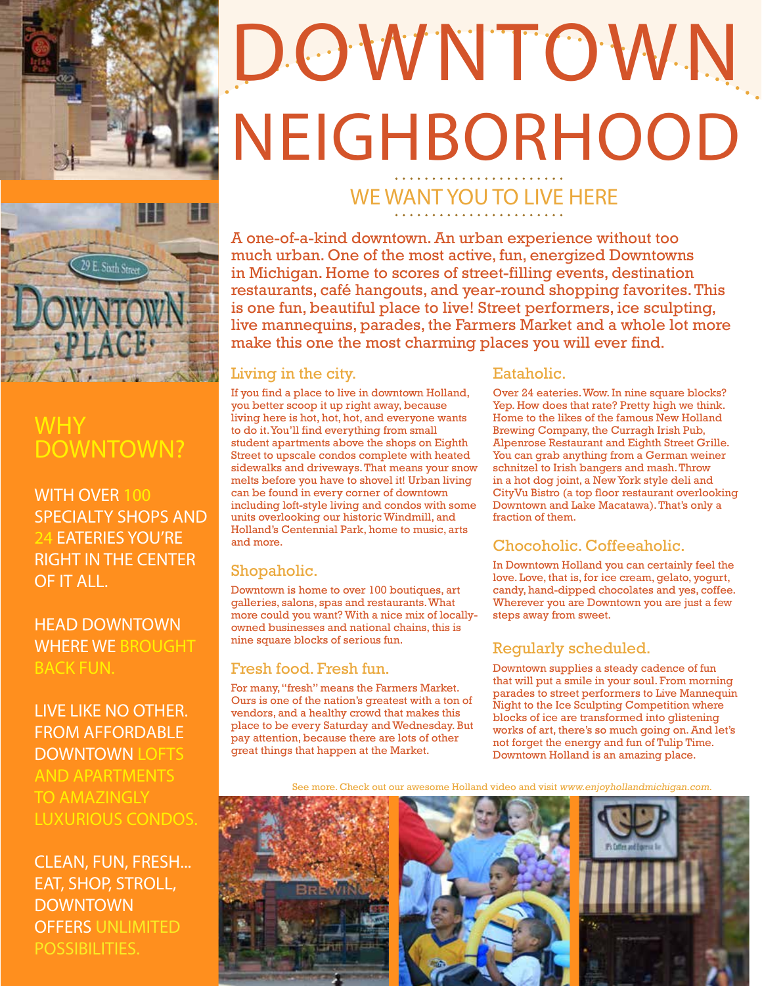

### **WHY** DOWNTOWN?

WITH OVER 100 SPECIALTY SHOPS AND EATERIES YOU'RE RIGHT IN THE CENTER OF IT ALL.

HEAD DOWNTOWN WHERE WE BROUGHT BACK FUN.

LIVE LIKE NO OTHER. FROM AFFORDABLE DOWNTOWN LOFTS AND APARTMENTS TO AMAZINGLY LUXURIOUS CONDOS.

CLEAN, FUN, FRESH... EAT, SHOP, STROLL, DOWNTOWN OFFERS UNLIMITED POSSIBILITIES.

# DOWNTOWN NEIGHBORHOOD

## WE WANT YOU TO LIVE HERE

A one-of-a-kind downtown. An urban experience without too much urban. One of the most active, fun, energized Downtowns in Michigan. Home to scores of street-filling events, destination restaurants, café hangouts, and year-round shopping favorites. This is one fun, beautiful place to live! Street performers, ice sculpting, live mannequins, parades, the Farmers Market and a whole lot more make this one the most charming places you will ever find.

#### Living in the city.

If you find a place to live in downtown Holland, you better scoop it up right away, because living here is hot, hot, hot, and everyone wants to do it. You'll find everything from small student apartments above the shops on Eighth Street to upscale condos complete with heated sidewalks and driveways. That means your snow melts before you have to shovel it! Urban living can be found in every corner of downtown including loft-style living and condos with some units overlooking our historic Windmill, and Holland's Centennial Park, home to music, arts and more.

#### Shopaholic.

Downtown is home to over 100 boutiques, art galleries, salons, spas and restaurants. What more could you want? With a nice mix of locallyowned businesses and national chains, this is nine square blocks of serious fun.

#### Fresh food. Fresh fun.

For many, "fresh" means the Farmers Market. Ours is one of the nation's greatest with a ton of vendors, and a healthy crowd that makes this place to be every Saturday and Wednesday. But pay attention, because there are lots of other great things that happen at the Market.

#### Eataholic.

Over 24 eateries. Wow. In nine square blocks? Yep. How does that rate? Pretty high we think. Home to the likes of the famous New Holland Brewing Company, the Curragh Irish Pub, Alpenrose Restaurant and Eighth Street Grille. You can grab anything from a German weiner schnitzel to Irish bangers and mash. Throw in a hot dog joint, a New York style deli and CityVu Bistro (a top floor restaurant overlooking Downtown and Lake Macatawa). That's only a fraction of them.

#### Chocoholic. Coffeeaholic.

In Downtown Holland you can certainly feel the love. Love, that is, for ice cream, gelato, yogurt, candy, hand-dipped chocolates and yes, coffee. Wherever you are Downtown you are just a few steps away from sweet.

#### Regularly scheduled.

Downtown supplies a steady cadence of fun that will put a smile in your soul. From morning parades to street performers to Live Mannequin Night to the Ice Sculpting Competition where blocks of ice are transformed into glistening works of art, there's so much going on. And let's not forget the energy and fun of Tulip Time. Downtown Holland is an amazing place.

See more. Check out our awesome Holland video and visit www.enjoyhollandmichigan.com.